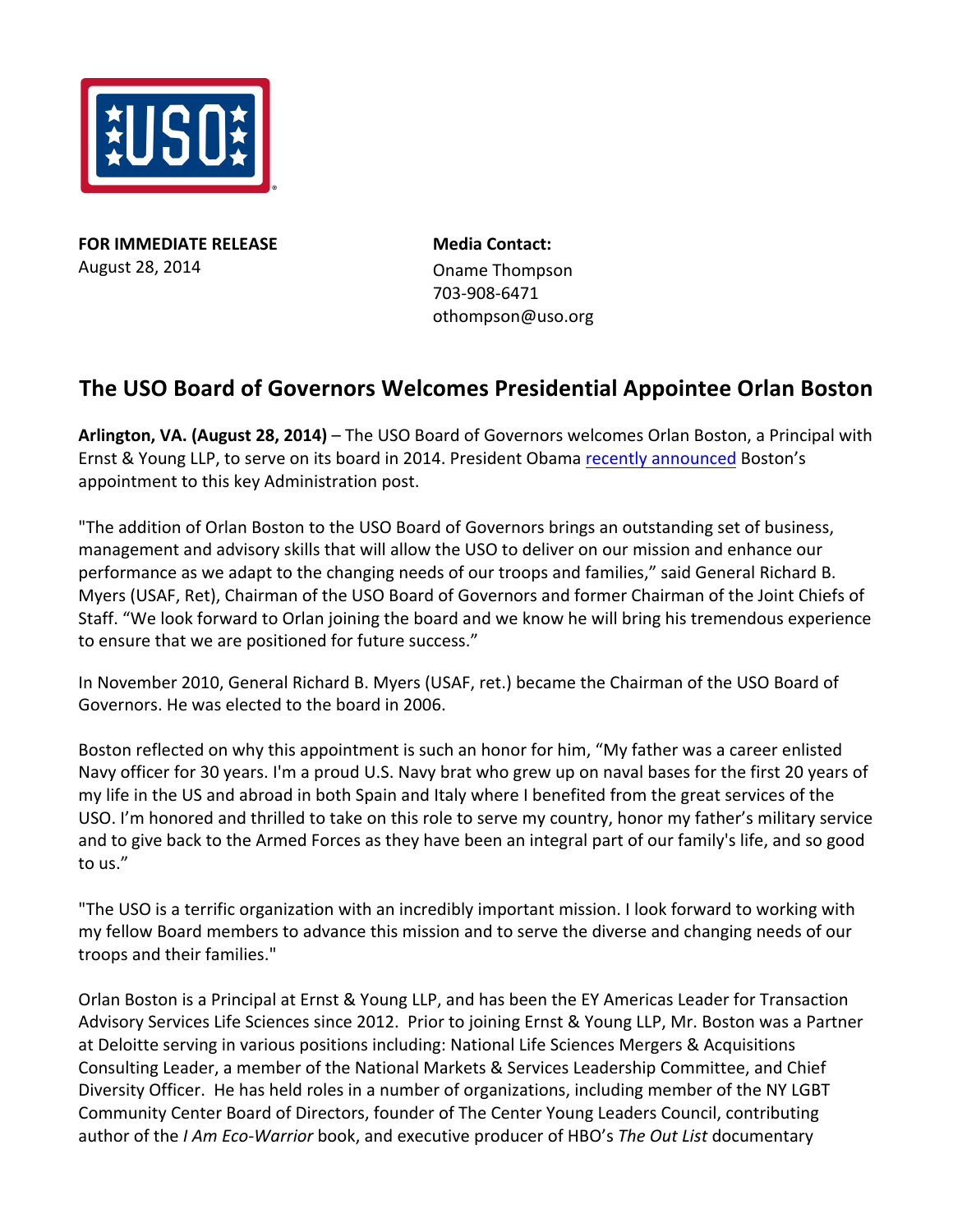

**FOR IMMEDIATE RELEASE** August 28, 2014

**Media Contact:**  Oname Thompson 703-908-6471 othompson@uso.org

## **The USO Board of Governors Welcomes Presidential Appointee Orlan Boston**

Arlington, VA. (August 28, 2014) - The USO Board of Governors welcomes Orlan Boston, a Principal with Ernst & Young LLP, to serve on its board in 2014. President Obama recently announced Boston's appointment to this key Administration post.

"The addition of Orlan Boston to the USO Board of Governors brings an outstanding set of business, management and advisory skills that will allow the USO to deliver on our mission and enhance our performance as we adapt to the changing needs of our troops and families," said General Richard B. Myers (USAF, Ret), Chairman of the USO Board of Governors and former Chairman of the Joint Chiefs of Staff. "We look forward to Orlan joining the board and we know he will bring his tremendous experience to ensure that we are positioned for future success."

In November 2010, General Richard B. Myers (USAF, ret.) became the Chairman of the USO Board of Governors. He was elected to the board in 2006.

Boston reflected on why this appointment is such an honor for him, "My father was a career enlisted Navy officer for 30 years. I'm a proud U.S. Navy brat who grew up on naval bases for the first 20 years of my life in the US and abroad in both Spain and Italy where I benefited from the great services of the USO. I'm honored and thrilled to take on this role to serve my country, honor my father's military service and to give back to the Armed Forces as they have been an integral part of our family's life, and so good to us."

"The USO is a terrific organization with an incredibly important mission. I look forward to working with my fellow Board members to advance this mission and to serve the diverse and changing needs of our troops and their families."

Orlan Boston is a Principal at Ernst & Young LLP, and has been the EY Americas Leader for Transaction Advisory Services Life Sciences since 2012. Prior to joining Ernst & Young LLP, Mr. Boston was a Partner at Deloitte serving in various positions including: National Life Sciences Mergers & Acquisitions Consulting Leader, a member of the National Markets & Services Leadership Committee, and Chief Diversity Officer. He has held roles in a number of organizations, including member of the NY LGBT Community Center Board of Directors, founder of The Center Young Leaders Council, contributing author of the *I Am Eco-Warrior* book, and executive producer of HBO's *The Out List* documentary